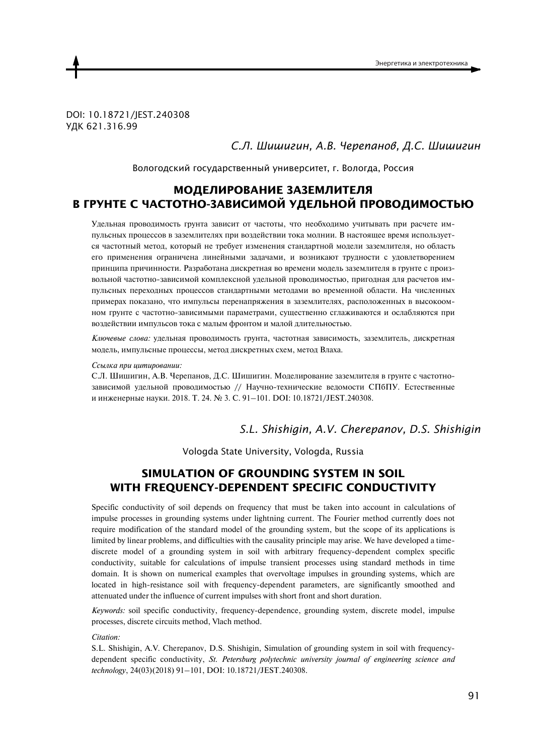DOI: 10.18721/JEST.240308 УДК 621.316.99

*С.Л. Шишигин, А.В. Черепанов, Д.С. Шишигин* 

Вологодский государственный университет, г. Вологда, Россия

# **МОДЕЛИРОВАНИЕ ЗАЗЕМЛИТЕЛЯ В ГРУНТЕ С ЧАСТОТНО-ЗАВИСИМОЙ УДЕЛЬНОЙ ПРОВОДИМОСТЬЮ**

Улельная проволимость грунта зависит от частоты, что необхолимо учитывать при расчете импульсных процессов в заземлителях при воздействии тока молнии. В настоящее время используется частотный метод, который не требует изменения стандартной модели заземлителя, но область его применения ограничена линейными задачами, и возникают трудности с удовлетворением принципа причинности. Разработана дискретная во времени модель заземлителя в грунте с произвольной частотно-зависимой комплексной удельной проводимостью, пригодная для расчетов импульсных переходных процессов стандартными методами во временной области. На численных примерах показано, что импульсы перенапряжения в заземлителях, расположенных в высокоомном грунте с частотно-зависимыми параметрами, существенно сглаживаются и ослабляются при воздействии импульсов тока с малым фронтом и малой длительностью.

Ключевые слова: удельная проводимость грунта, частотная зависимость, заземлитель, дискретная модель, импульсные процессы, метод дискретных схем, метод Влаха.

#### Ссылка при иитировании:

С.Л. Шишигин, А.В. Черепанов, Д.С. Шишигин. Моделирование заземлителя в грунте с частотнозависимой удельной проводимостью // Научно-технические ведомости СПбПУ. Естественные и инженерные науки. 2018. Т. 24. № 3. С. 91-101. DOI: 10.18721/JEST.240308.

*S.L. Shishigin, A.V. Cherepanov, D.S. Shishigin* 

Vologda State University, Vologda, Russia

# **SIMULATION OF GROUNDING SYSTEM IN SOIL WITH FREQUENCY-DEPENDENT SPECIFIC CONDUCTIVITY**

Specific conductivity of soil depends on frequency that must be taken into account in calculations of impulse processes in grounding systems under lightning current. The Fourier method currently does not require modification of the standard model of the grounding system, but the scope of its applications is limited by linear problems, and difficulties with the causality principle may arise. We have developed a timediscrete model of a grounding system in soil with arbitrary frequency-dependent complex specific conductivity, suitable for calculations of impulse transient processes using standard methods in time domain. It is shown on numerical examples that overvoltage impulses in grounding systems, which are located in high-resistance soil with frequency-dependent parameters, are significantly smoothed and attenuated under the influence of current impulses with short front and short duration.

*Keywords:* soil specific conductivity, frequency-dependence, grounding system, discrete model, impulse processes, discrete circuits method, Vlach method.

*Citation:* 

S.L. Shishigin, A.V. Cherepanov, D.S. Shishigin, Simulation of grounding system in soil with frequencydependent specific conductivity, *St. Petersburg polytechnic university journal of engineering science and technology*, 24(03)(2018) 91–101, DOI: 10.18721/JEST.240308.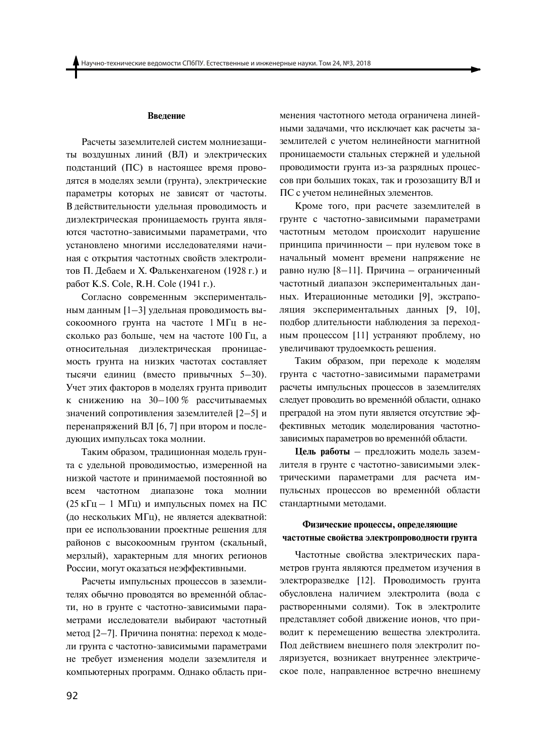### Введение

Расчеты заземлителей систем молниезащиты воздушных линий (ВЛ) и электрических подстанций (ПС) в настоящее время проводятся в моделях земли (грунта), электрические параметры которых не зависят от частоты. В действительности удельная проводимость и диэлектрическая проницаемость грунта являются частотно-зависимыми параметрами, что установлено многими исследователями начиная с открытия частотных свойств электролитов П. Дебаем и Х. Фалькенхагеном (1928 г.) и работ K.S. Cole, R.H. Cole (1941 г.).

Согласно современным экспериментальным данным [1-3] удельная проводимость высокоомного грунта на частоте 1 МГц в несколько раз больше, чем на частоте 100 Гц, а относительная диэлектрическая проницаемость грунта на низких частотах составляет тысячи единиц (вместо привычных 5-30). Учет этих факторов в моделях грунта приводит к снижению на  $30-100\%$  рассчитываемых значений сопротивления заземлителей [2-5] и перенапряжений ВЛ [6, 7] при втором и последующих импульсах тока молнии.

Таким образом, традиционная модель грунта с удельной проводимостью, измеренной на низкой частоте и принимаемой постоянной во всем частотном диапазоне тока молнии (25 кГц - 1 МГц) и импульсных помех на ПС (до нескольких МГц), не является адекватной: при ее использовании проектные решения для районов с высокоомным грунтом (скальный, мерзлый), характерным для многих регионов России, могут оказаться неэффективными.

Расчеты импульсных процессов в заземлителях обычно проводятся во временной области, но в грунте с частотно-зависимыми параметрами исследователи выбирают частотный метод [2-7]. Причина понятна: переход к модели грунта с частотно-зависимыми параметрами не требует изменения модели заземлителя и компьютерных программ. Однако область применения частотного метода ограничена линейными задачами, что исключает как расчеты заземлителей с учетом нелинейности магнитной проницаемости стальных стержней и удельной проводимости грунта из-за разрядных процессов при больших токах, так и грозозащиту ВЛ и ПС с учетом нелинейных элементов.

Кроме того, при расчете заземлителей в грунте с частотно-зависимыми параметрами частотным методом происходит нарушение принципа причинности - при нулевом токе в начальный момент времени напряжение не равно нулю [8-11]. Причина - ограниченный частотный диапазон экспериментальных данных. Итерационные методики [9], экстраполяция экспериментальных данных [9, 10], подбор длительности наблюдения за переходным процессом [11] устраняют проблему, но увеличивают трудоемкость решения.

Таким образом, при переходе к моделям грунта с частотно-зависимыми параметрами расчеты импульсных процессов в заземлителях следует проводить во временной области, однако преградой на этом пути является отсутствие эффективных методик моделирования частотнозависимых параметров во временной области.

Цель работы - предложить модель заземлителя в грунте с частотно-зависимыми электрическими параметрами для расчета импульсных процессов во временной области стандартными методами.

# Физические процессы, определяющие частотные свойства электропроводности грунта

Частотные свойства электрических параметров грунта являются предметом изучения в электроразведке [12]. Проводимость грунта обусловлена наличием электролита (вода с растворенными солями). Ток в электролите представляет собой движение ионов, что приводит к перемещению вещества электролита. Под действием внешнего поля электролит поляризуется, возникает внутреннее электрическое поле, направленное встречно внешнему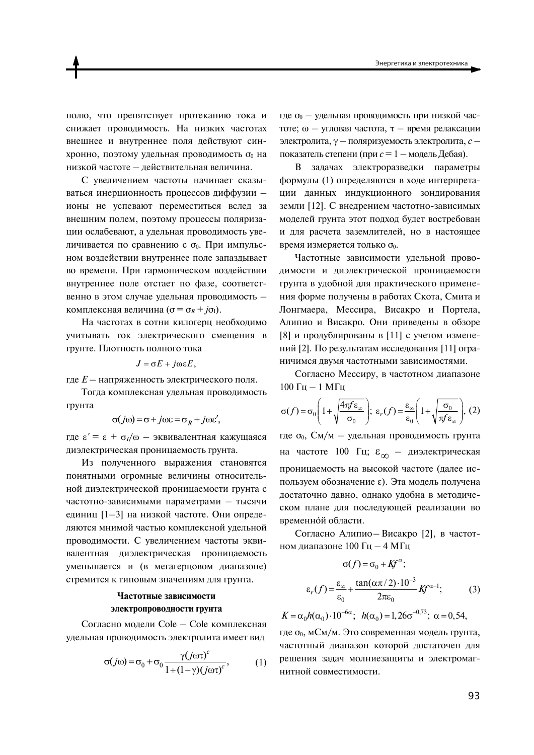полю, что препятствует протеканию тока и снижает проводимость. На низких частотах внешнее и внутреннее поля действуют синхронно, поэтому удельная проводимость от на низкой частоте - действительная величина.

С увеличением частоты начинает сказываться инерционность процессов диффузии ионы не успевают переместиться вслед за внешним полем, поэтому процессы поляризации ослабевают, а удельная проводимость увеличивается по сравнению с  $\sigma_0$ . При импульсном воздействии внутреннее поле запаздывает во времени. При гармоническом воздействии внутреннее поле отстает по фазе, соответственно в этом случае удельная проводимость комплексная величина ( $\sigma = \sigma_R + i\sigma_I$ ).

На частотах в сотни килогерц необходимо учитывать ток электрического смещения в грунте. Плотность полного тока

$$
J=\sigma E+j\omega\epsilon E,
$$

где  $E$  - напряженность электрического поля.

Тогла комплексная удельная проводимость грунта

$$
\sigma(j\omega) = \sigma + j\omega \varepsilon = \sigma_R + j\omega \varepsilon'
$$

где  $\epsilon' = \epsilon + \sigma_l/\omega$  — эквивалентная кажущаяся диэлектрическая проницаемость грунта.

Из полученного выражения становятся понятными огромные величины относительной диэлектрической проницаемости грунта с частотно-зависимыми параметрами - тысячи единиц [1-3] на низкой частоте. Они определяются мнимой частью комплексной удельной проводимости. С увеличением частоты эквивалентная диэлектрическая проницаемость уменьшается и (в мегагерцовом диапазоне) стремится к типовым значениям для грунта.

# Частотные зависимости электропроводности грунта

Согласно модели Cole - Cole комплексная удельная проводимость электролита имеет вид

$$
\sigma(j\omega) = \sigma_0 + \sigma_0 \frac{\gamma(j\omega\tau)^c}{1 + (1 - \gamma)(j\omega\tau)^c},
$$
 (1)

где от - удельная проводимость при низкой частоте; ω - угловая частота, τ - время релаксации электролита,  $\gamma$  - поляризуемость электролита,  $c$  показатель степени (при  $c = 1 -$ модель Дебая).

В задачах электроразведки параметры формулы (1) определяются в ходе интерпретации данных индукционного зондирования земли [12]. С внедрением частотно-зависимых моделей грунта этот подход будет востребован и для расчета заземлителей, но в настоящее время измеряется только  $\sigma_0$ .

Частотные зависимости удельной проводимости и диэлектрической проницаемости грунта в удобной для практического применения форме получены в работах Скота, Смита и Лонгмаера, Мессира, Висакро и Портела, Алипио и Висакро. Они приведены в обзоре [8] и продублированы в [11] с учетом изменений [2]. По результатам исследования [11] ограничимся двумя частотными зависимостями.

Согласно Мессиру, в частотном диапазоне 100 Гц  $-1$  МГц

$$
\sigma(f) = \sigma_0 \left( 1 + \sqrt{\frac{4\pi f \varepsilon_{\infty}}{\sigma_0}} \right); \ \varepsilon_r(f) = \frac{\varepsilon_{\infty}}{\varepsilon_0} \left( 1 + \sqrt{\frac{\sigma_0}{\pi f \varepsilon_{\infty}}} \right), \ (2)
$$

где о<sub>0</sub>, См/м - удельная проводимость грунта на частоте 100 Гц;  $\varepsilon_{\infty}$  - диэлектрическая проницаемость на высокой частоте (далее используем обозначение  $\varepsilon$ ). Эта модель получена достаточно давно, однако удобна в методическом плане для последующей реализации во временной области.

Согласно Алипио-Висакро [2], в частотном диапазоне 100 Гц - 4 МГц

$$
\sigma(f) = \sigma_0 + Kf^{\alpha};
$$
  
\n
$$
\varepsilon_r(f) = \frac{\varepsilon_{\infty}}{\varepsilon_0} + \frac{\tan(\alpha \pi/2) \cdot 10^{-3}}{2\pi\varepsilon_0} Kf^{\alpha-1};
$$
 (3)

$$
K = \alpha_0 h(\alpha_0) \cdot 10^{-6\alpha}; \ \ h(\alpha_0) = 1,26\sigma^{-0.73}; \ \alpha = 0,54,
$$

где  $\sigma_0$ , мСм/м. Это современная модель грунта, частотный диапазон которой достаточен для решения задач молниезащиты и электромагнитной совместимости.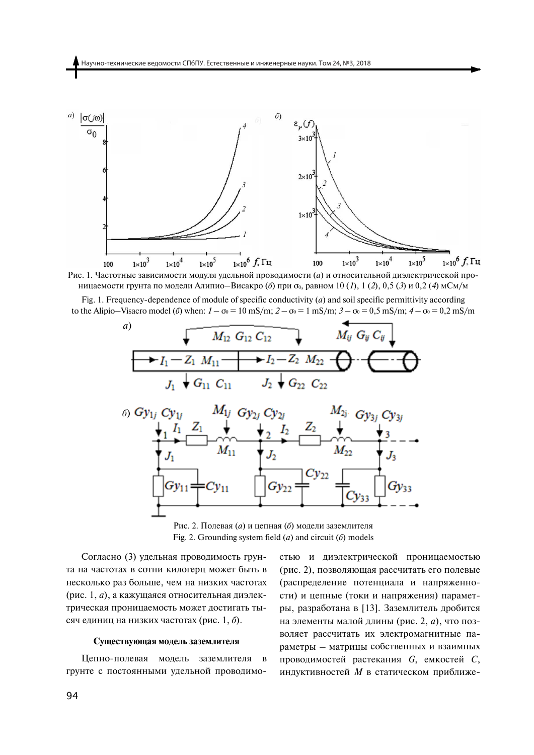

Рис. 1. Частотные зависимости модуля удельной проводимости (а) и относительной диэлектрической проницаемости грунта по модели Алипио-Висакро (б) при  $\sigma_0$ , равном 10 (1), 1 (2), 0,5 (3) и 0,2 (4) мСм/м

Fig. 1. Frequency-dependence of module of specific conductivity  $(a)$  and soil specific permittivity according to the Alipio–Visacro model (6) when:  $1 - \sigma_0 = 10 \text{ mS/m}$ ;  $2 - \sigma_0 = 1 \text{ mS/m}$ ;  $3 - \sigma_0 = 0.5 \text{ mS/m}$ ;  $4 - \sigma_0 = 0.2 \text{ mS/m}$ 



Рис. 2. Полевая (а) и цепная (б) молели заземлителя Fig. 2. Grounding system field  $(a)$  and circuit  $(b)$  models

Согласно (3) удельная проводимость грунта на частотах в сотни килогерц может быть в несколько раз больше, чем на низких частотах (рис. 1, а), а кажущаяся относительная диэлектрическая проницаемость может достигать тысяч единиц на низких частотах (рис. 1, б).

### Существующая модель заземлителя

Цепно-полевая модель заземлителя в грунте с постоянными удельной проводимостью и диэлектрической проницаемостью (рис. 2), позволяющая рассчитать его полевые (распределение потенциала и напряженности) и цепные (токи и напряжения) параметры, разработана в [13]. Заземлитель дробится на элементы малой длины (рис. 2, а), что позволяет рассчитать их электромагнитные параметры - матрицы собственных и взаимных проводимостей растекания G, емкостей C, индуктивностей М в статическом приближе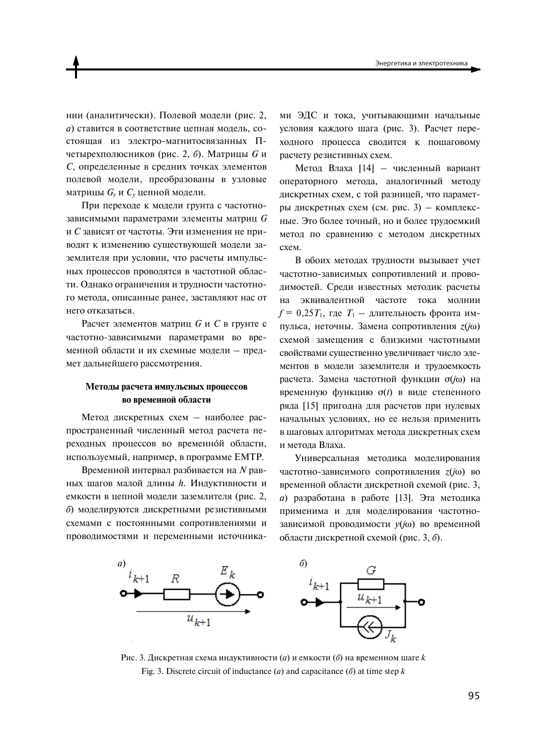нии (аналитически). Полевой молели (рис. 2. а) ставится в соответствие цепная модель, состоящая из электро-магнитосвязанных Пчетырехполюсников (рис. 2, б). Матрицы  $G$  и С, определенные в средних точках элементов полевой модели, преобразованы в узловые матрицы  $G_y$  и  $C_y$  цепной модели.

При переходе к модели грунта с частотнозависимыми параметрами элементы матриц  $G$ и С зависят от частоты. Эти изменения не приводят к изменению существующей модели заземлителя при условии, что расчеты импульсных процессов проводятся в частотной области. Однако ограничения и трудности частотного метода, описанные ранее, заставляют нас от него отказаться.

Расчет элементов матриц  $G$  и  $C$  в грунте с частотно-зависимыми параметрами во временной области и их схемные модели - предмет дальнейшего рассмотрения.

# Методы расчета импульсных процессов во временной области

Метод дискретных схем - наиболее распространенный численный метод расчета переходных процессов во временной области, используемый, например, в программе ЕМТР.

Временной интервал разбивается на  $N$  равных шагов малой длины h. Индуктивности и емкости в цепной модели заземлителя (рис. 2. б) моделируются дискретными резистивными схемами с постоянными сопротивлениями и проводимостями и переменными источниками ЭДС и тока, учитывающими начальные условия каждого шага (рис. 3). Расчет переходного процесса сводится к пошаговому расчету резистивных схем.

Метод Влаха [14] - численный вариант операторного метода, аналогичный методу дискретных схем, с той разницей, что параметры дискретных схем (см. рис. 3) - комплексные. Это более точный, но и более трудоемкий метод по сравнению с методом дискретных схем.

В обоих методах трудности вызывает учет частотно-зависимых сопротивлений и проводимостей. Среди известных методик расчеты на эквивалентной частоте тока молнии  $f = 0.25T_1$ , где  $T_1$  - длительность фронта импульса, неточны. Замена сопротивления  $z(i\omega)$ схемой замешения с близкими частотными свойствами существенно увеличивает число элементов в модели заземлителя и трудоемкость расчета. Замена частотной функции  $\sigma(i\omega)$  на временную функцию  $\sigma(t)$  в виде степенного ряда [15] пригодна для расчетов при нулевых начальных условиях, но ее нельзя применить в шаговых алгоритмах метода дискретных схем и метода Влаха.

Универсальная метолика молелирования частотно-зависимого сопротивления  $z(i\omega)$  во временной области дискретной схемой (рис. 3, а) разработана в работе [13]. Эта методика применима и для моделирования частотнозависимой проводимости  $y(j\omega)$  во временной области дискретной схемой (рис. 3, б).



Рис. 3. Дискретная схема индуктивности (*a*) и емкости (*б*) на временном шаге  $k$ Fig. 3. Discrete circuit of inductance (*a*) and capacitance (*b*) at time step  $k$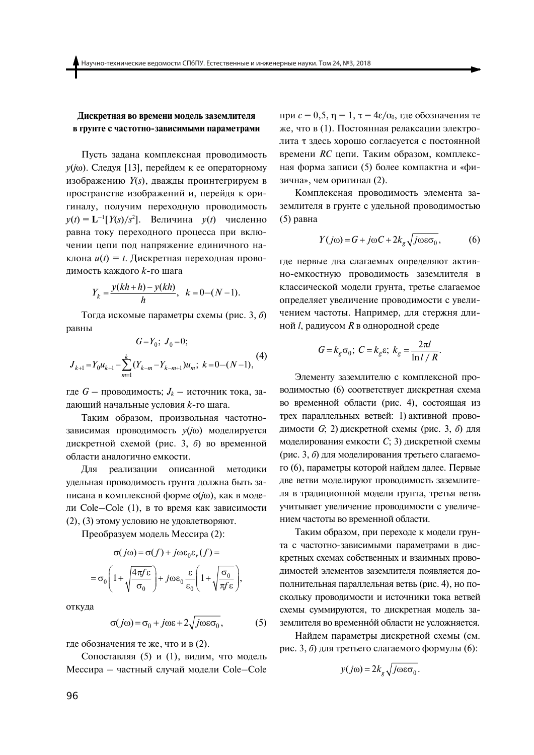## Дискретная во времени модель заземлителя в грунте с частотно-зависимыми параметрами

Пусть задана комплексная проводимость  $y(j\omega)$ . Следуя [13], перейдем к ее операторному изображению *Y(s)*, дважды проинтегрируем в пространстве изображений и, перейдя к оригиналу, получим переходную проводимость  $y(t) = L^{-1}[Y(s)/s^2]$ . Величина  $y(t)$  численно равна току переходного процесса при включении цепи под напряжение единичного наклона  $u(t) = t$ . Дискретная переходная проволимость кажлого k-го шага

$$
Y_k = \frac{y(kh + h) - y(kh)}{h}, \ \ k = 0 - (N - 1).
$$

Тогда искомые параметры схемы (рис. 3, 6) равны

$$
G = Y_0; \ J_0 = 0;
$$
  

$$
J_{k+1} = Y_0 u_{k+1} - \sum_{m=1}^k (Y_{k-m} - Y_{k-m+1}) u_m; \ k = 0 - (N - 1),
$$
<sup>(4)</sup>

где  $G$  – проводимость;  $J_k$  – источник тока, задающий начальные условия k-го шага.

Таким образом, произвольная частотнозависимая проводимость у(јо) моделируется дискретной схемой (рис. 3, 6) во временной области аналогично емкости.

Для реализации описанной методики удельная проводимость грунта должна быть записана в комплексной форме σ(*j*ω), как в модели Cole-Cole (1), в то время как зависимости (2), (3) этому условию не удовлетворяют.

Преобразуем модель Мессира (2):

$$
\sigma(j\omega) = \sigma(f) + j\omega \varepsilon_0 \varepsilon_r(f) =
$$

$$
= \sigma_0 \left( 1 + \sqrt{\frac{4\pi f \varepsilon}{\sigma_0}} \right) + j\omega \varepsilon_0 \frac{\varepsilon}{\varepsilon_0} \left( 1 + \sqrt{\frac{\sigma_0}{\pi f \varepsilon}} \right),
$$

откуда

$$
\sigma(j\omega) = \sigma_0 + j\omega\varepsilon + 2\sqrt{j\omega\varepsilon\sigma_0},\tag{5}
$$

где обозначения те же, что и в (2).

Сопоставляя (5) и (1), видим, что модель Мессира - частный случай модели Cole-Cole при  $c = 0.5$ ,  $n = 1$ ,  $\tau = 4\varepsilon/\sigma_0$ , где обозначения те же, что в (1). Постоянная релаксации электролита т здесь хорошо согласуется с постоянной времени RC цепи. Таким образом, комплексная форма записи (5) более компактна и «физична», чем оригинал (2).

Комплексная проводимость элемента заземлителя в грунте с удельной проводимостью  $(5)$  равна

$$
Y(j\omega) = G + j\omega C + 2k_g \sqrt{j\omega \varepsilon \sigma_0},\qquad (6)
$$

где первые два слагаемых определяют активно-емкостную проводимость заземлителя в классической модели грунта, третье слагаемое определяет увеличение проводимости с увеличением частоты. Например, для стержня длиной *l*, радиусом *R* в однородной среде

$$
G = k_g \sigma_0; \ C = k_g \varepsilon; \ k_g = \frac{2\pi l}{\ln l / R}
$$

Элементу заземлителю с комплексной проводимостью (6) соответствует дискретная схема во временной области (рис. 4), состоящая из трех параллельных ветвей: 1) активной проводимости G; 2) дискретной схемы (рис. 3, 6) для моделирования емкости С; 3) дискретной схемы (рис. 3, б) для моделирования третьего слагаемого (6), параметры которой найдем далее. Первые две ветви моделируют проводимость заземлителя в традиционной модели грунта, третья ветвь учитывает увеличение проводимости с увеличением частоты во временной области.

Таким образом, при переходе к модели грунта с частотно-зависимыми параметрами в дискретных схемах собственных и взаимных проводимостей элементов заземлителя появляется дополнительная параллельная ветвь (рис. 4), но поскольку проводимости и источники тока ветвей схемы суммируются, то дискретная модель заземлителя во временной области не усложняется.

Найдем параметры дискретной схемы (см. рис. 3, б) для третьего слагаемого формулы (6):

$$
y(j\omega) = 2k_g \sqrt{j\omega \varepsilon \sigma_0}.
$$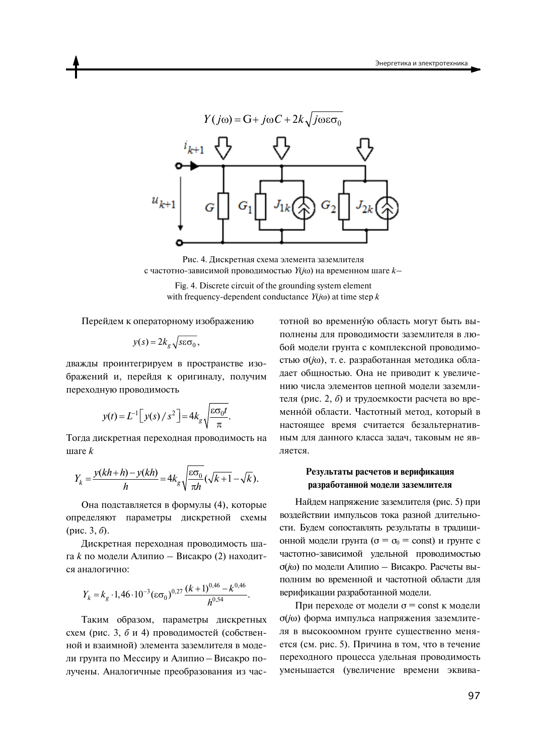

Рис. 4. Дискретная схема элемента заземлителя с частотно-зависимой проводимостью  $Y(j\omega)$  на временном шаге  $k-$ 

Fig. 4. Discrete circuit of the grounding system element with frequency-dependent conductance  $Y(j\omega)$  at time step k

Перейдем к операторному изображению

$$
y(s) = 2k_g \sqrt{s \varepsilon \sigma_0},
$$

дважды проинтегрируем в пространстве изображений и, перейдя к оригиналу, получим переходную проводимость

$$
y(t) = L^{-1} \left[ y(s) / s^2 \right] = 4k_g \sqrt{\frac{\varepsilon \sigma_0 t}{\pi}}.
$$

Тогда дискретная переходная проводимость на  $\theta$  in area  $k$ 

$$
Y_k = \frac{y(kh+h) - y(kh)}{h} = 4k_g \sqrt{\frac{\varepsilon \sigma_0}{\pi h}} (\sqrt{k+1} - \sqrt{k}).
$$

Она подставляется в формулы (4), которые определяют параметры дискретной схемы (рис. 3, б).

Дискретная переходная проводимость шага  $k$  по модели Алипио – Висакро (2) находится аналогично:

$$
Y_k = k_g \cdot 1,46 \cdot 10^{-3} (\varepsilon \sigma_0)^{0.27} \frac{(k+1)^{0.46} - k^{0.46}}{h^{0.54}}
$$

Таким образом, параметры дискретных схем (рис. 3, б и 4) проводимостей (собственной и взаимной) элемента заземлителя в модели грунта по Мессиру и Алипио - Висакро получены. Аналогичные преобразования из частотной во временную область могут быть выполнены для проводимости заземлителя в любой модели грунта с комплексной проводимостью σ(jω), т. е. разработанная методика обладает общностью. Она не приводит к увеличению числа элементов цепной модели заземлителя (рис. 2, б) и трудоемкости расчета во временной области. Частотный метод, который в настоящее время считается безальтернативным для данного класса задач, таковым не является.

## Результаты расчетов и верификация разработанной модели заземлителя

Найдем напряжение заземлителя (рис. 5) при воздействии импульсов тока разной длительности. Будем сопоставлять результаты в традиционной модели грунта ( $\sigma = \sigma_0 = \text{const}$ ) и грунте с частотно-зависимой удельной проводимостью  $\sigma(i\omega)$  по модели Алипио – Висакро. Расчеты выполним во временной и частотной области для верификации разработанной модели.

При переходе от модели  $\sigma$  = const к модели  $\sigma(i\omega)$  форма импульса напряжения заземлителя в высокоомном грунте существенно меняется (см. рис. 5). Причина в том, что в течение переходного процесса удельная проводимость уменьшается (увеличение времени эквива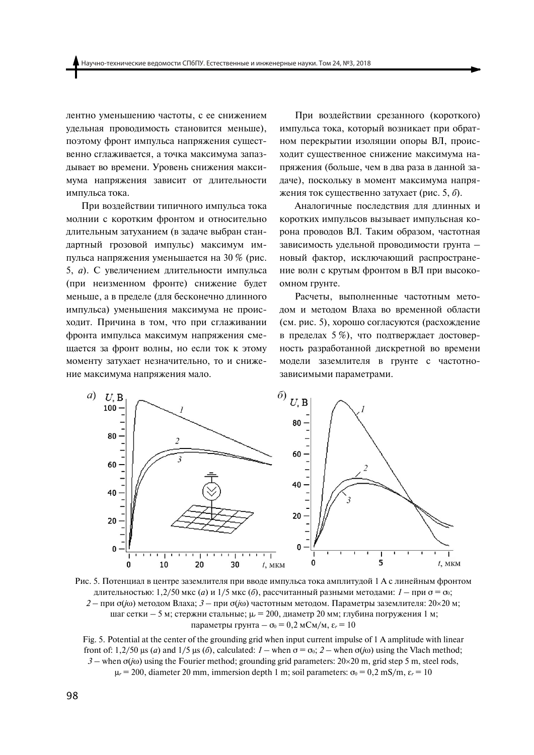лентно уменьшению частоты, с ее снижением удельная проводимость становится меньше), поэтому фронт импульса напряжения существенно сглаживается, а точка максимума запаздывает во времени. Уровень снижения максимума напряжения зависит от длительности импульса тока.

При воздействии типичного импульса тока молнии с коротким фронтом и относительно длительным затуханием (в задаче выбран стандартный грозовой импульс) максимум импульса напряжения уменьшается на 30 % (рис. 5, а). С увеличением длительности импульса (при неизменном фронте) снижение будет меньше, а в пределе (для бесконечно длинного импульса) уменьшения максимума не происходит. Причина в том, что при сглаживании фронта импульса максимум напряжения смещается за фронт волны, но если ток к этому моменту затухает незначительно, то и снижение максимума напряжения мало.

При воздействии срезанного (короткого) импульса тока, который возникает при обратном перекрытии изоляции опоры ВЛ, происходит существенное снижение максимума напряжения (больше, чем в два раза в данной задаче), поскольку в момент максимума напряжения ток существенно затухает (рис. 5, 6).

Аналогичные последствия для длинных и коротких импульсов вызывает импульсная корона проводов ВЛ. Таким образом, частотная зависимость удельной проводимости грунта новый фактор, исключающий распространение волн с крутым фронтом в ВЛ при высокоомном грунте.

Расчеты, выполненные частотным методом и методом Влаха во временной области (см. рис. 5), хорошо согласуются (расхождение в пределах 5 %), что подтверждает достоверность разработанной дискретной во времени модели заземлителя в грунте с частотнозависимыми параметрами.



Рис. 5. Потенциал в центре заземлителя при вводе импульса тока амплитудой 1 А с линейным фронтом длительностью: 1,2/50 мкс (*a*) и 1/5 мкс (*6*), рассчитанный разными методами:  $1 - \text{पи  $\sigma = \sigma_0$ ;$ 2 - при  $\sigma(j\omega)$  методом Влаха; 3 - при  $\sigma(j\omega)$  частотным методом. Параметры заземлителя: 20×20 м; шаг сетки – 5 м; стержни стальные;  $\mu_r = 200$ , диаметр 20 мм; глубина погружения 1 м; параметры грунта —  $\sigma_0 = 0.2$  мСм/м,  $\varepsilon_r = 10$ 

Fig. 5. Potential at the center of the grounding grid when input current impulse of 1 A amplitude with linear front of: 1,2/50  $\mu$ s (*a*) and 1/5  $\mu$ s (*6*), calculated: *1* – when  $\sigma = \sigma_0$ ; 2 – when  $\sigma(i\omega)$  using the Vlach method;  $3$  – when  $\sigma(i\omega)$  using the Fourier method; grounding grid parameters:  $20 \times 20$  m, grid step 5 m, steel rods,  $\mu_r$  = 200, diameter 20 mm, immersion depth 1 m; soil parameters:  $\sigma_0$  = 0,2 mS/m,  $\varepsilon_r$  = 10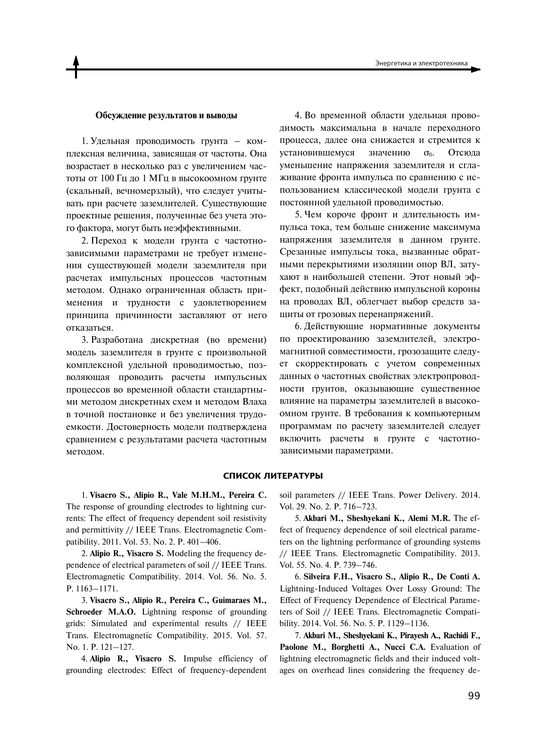### Обсуждение результатов и выводы

1. Удельная проводимость грунта - комплексная величина, зависящая от частоты. Она возрастает в несколько раз с увеличением частоты от 100 Гц до 1 МГц в высокоомном грунте (скальный, вечномерзлый), что следует учитывать при расчете заземлителей. Существующие проектные решения, полученные без учета этого фактора, могут быть неэффективными.

2. Переход к модели грунта с частотнозависимыми параметрами не требует изменения существующей модели заземлителя при расчетах импульсных процессов частотным методом. Однако ограниченная область применения и трудности с удовлетворением принципа причинности заставляют от него отказаться.

3. Разработана дискретная (во времени) модель заземлителя в грунте с произвольной КОМПЛЕКСНОЙ УДЕЛЬНОЙ ПРОВОДИМОСТЬЮ, ПОЗволяющая проводить расчеты импульсных троцессов во временной области стандартными методом дискретных схем и методом Влаха в точной постановке и без увеличения трудоемкости. Достоверность модели подтверждена сравнением с результатами расчета частотным методом.

4. Во временной области удельная проводимость максимальна в начале переходного процесса, далее она снижается и стремится к установившемуся значению  $\sigma_0$ . Отсюда уменьшение напряжения заземлителя и сглаживание фронта импульса по сравнению с использованием классической модели грунта с постоянной удельной проводимостью.

5. Чем короче фронт и длительность импульса тока, тем больше снижение максимума напряжения заземлителя в данном грунте. Срезанные импульсы тока, вызванные обратными перекрытиями изоляции опор ВЛ, затухают в наибольшей степени. Этот новый эффект, подобный действию импульсной короны на проводах ВЛ, облегчает выбор средств защиты от грозовых перенапряжений.

6. Действующие нормативные документы по проектированию заземлителей, электромагнитной совместимости, грозозащите следует скорректировать с учетом современных данных о частотных свойствах электропроводности грунтов, оказывающие существенное влияние на параметры заземлителей в высокоомном грунте. В требования к компьютерным программам по расчету заземлителей следует включить расчеты в грунте с частотнозависимыми параметрами.

### **СПИСОК ЛИТЕРАТУРЫ**

1. **Visacro S., Alipio R., Vale M.H.M., Pereira C.**  The response of grounding electrodes to lightning currents: The effect of frequency dependent soil resistivity and permittivity // IEEE Trans. Electromagnetic Compatibility. 2011. Vol. 53. No. 2. P. 401–406.

2. **Alipio R., Visacro S.** Modeling the frequency dependence of electrical parameters of soil // IEEE Trans. Electromagnetic Compatibility. 2014. Vol. 56. No. 5. P. 1163–1171.

3. **Visacro S., Alipio R., Pereira C., Guimaraes M., Schroeder M.A.O.** Lightning response of grounding grids: Simulated and experimental results // IEEE Trans. Electromagnetic Compatibility. 2015. Vol. 57. No. 1. P. 121–127.

4. **Alipio R., Visacro S.** Impulse efficiency of grounding electrodes: Effect of frequency-dependent

soil parameters // IEEE Trans. Power Delivery. 2014. Vol. 29. No. 2. P. 716–723.

5. **Akbari M., Sheshyekani K., Alemi M.R.** The effect of frequency dependence of soil electrical parameters on the lightning performance of grounding systems // IEEE Trans. Electromagnetic Compatibility. 2013. Vol. 55. No. 4. P. 739–746.

6. **Silveira F.H., Visacro S., Alipio R., De Conti A.** Lightning-Induced Voltages Over Lossy Ground: The Effect of Frequency Dependence of Electrical Parameters of Soil // IEEE Trans. Electromagnetic Compatibility. 2014. Vol. 56. No. 5. P. 1129–1136.

7. **Akbari M., Sheshyekani K., Pirayesh A., Rachidi F., Paolone M., Borghetti A., Nucci C.A.** Evaluation of lightning electromagnetic fields and their induced voltages on overhead lines considering the frequency de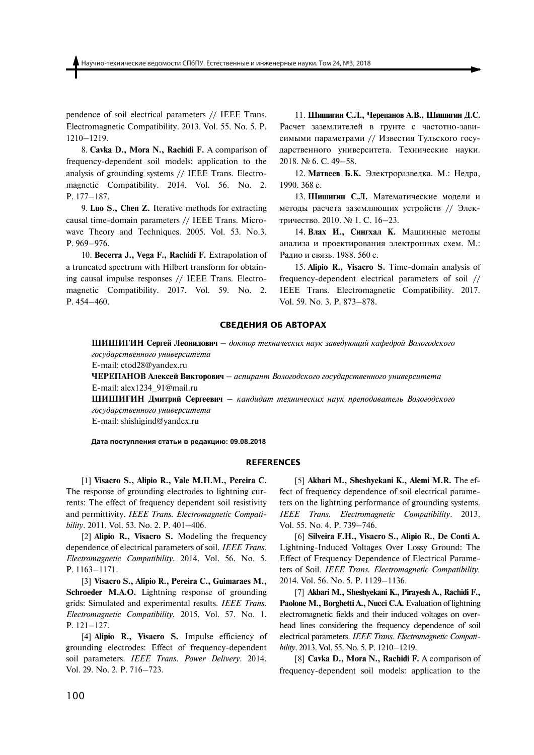pendence of soil electrical parameters // IEEE Trans. Electromagnetic Compatibility. 2013. Vol. 55. No. 5. P. 1210–1219.

8. **Cavka D., Mora N., Rachidi F.** A comparison of frequency-dependent soil models: application to the analysis of grounding systems // IEEE Trans. Electromagnetic Compatibility. 2014. Vol. 56. No. 2. P. 177–187.

9. **Luo S., Chen Z.** Iterative methods for extracting causal time-domain parameters // IEEE Trans. Microwave Theory and Techniques. 2005. Vol. 53. No.3. P. 969–976.

10. Becerra J., Vega F., Rachidi F. Extrapolation of a truncated spectrum with Hilbert transform for obtaining causal impulse responses // IEEE Trans. Electromagnetic Compatibility. 2017. Vol. 59. No. 2. P. 454–460.

11. Шишигин С.Л., Черепанов А.В., Шишигин Л.С. Расчет заземлителей в грунте с частотно-зависимыми параметрами // Известия Тульского государственного университета. Технические науки. 2018. № 6. С. 49-58.

12. Матвеев Б.К. Электроразведка. М.: Недра, 1990. 368 c.

13. Шишигин С.Л. Математические модели и методы расчета заземляющих устройств // Электричество. 2010. № 1. С. 16–23.

14. Влах И., Сингхал К. Машинные методы анализа и проектирования электронных схем. М.: Радио и связь. 1988. 560 с.

15. **Alipio R., Visacro S.** Time-domain analysis of frequency-dependent electrical parameters of soil // IEEE Trans. Electromagnetic Compatibility. 2017. Vol. 59. No. 3. P. 873–878.

#### **СВЕДЕНИЯ ОБ АВТОРАХ**

ШИШИГИН Сергей Леонидович – доктор технических наук заведующий кафедрой Вологодского  $\alpha$ *еосударственного университета* 

E-mail: ctod28@yandex.ru

ЧЕРЕПАНОВ Алексей Викторович – аспирант Вологодского государственного университета E-mail: alex1234\_91@mail.ru

ШИШИГИН Дмитрий Сергеевич – кандидат технических наук преподаватель Вологодского *ȃȎȑȓȄаȐȑȒвȅȍȍȎȃȎ ȓȍȈвȅȐȑȈȒȅȒа*

E-mail: shishigind@yandex.ru

#### $\mu$ ата поступления статьи в редакцию: 09.08.2018

#### **REFERENCES**

[1] **Visacro S., Alipio R., Vale M.H.M., Pereira C.**  The response of grounding electrodes to lightning currents: The effect of frequency dependent soil resistivity and permittivity. *IEEE Trans. Electromagnetic Compatibility*. 2011. Vol. 53. No. 2. P. 401–406.

[2] **Alipio R., Visacro S.** Modeling the frequency dependence of electrical parameters of soil. *IEEE Trans. Electromagnetic Compatibility*. 2014. Vol. 56. No. 5. P. 1163–1171.

[3] **Visacro S., Alipio R., Pereira C., Guimaraes M., Schroeder M.A.O.** Lightning response of grounding grids: Simulated and experimental results. *IEEE Trans. Electromagnetic Compatibility.* 2015. Vol. 57. No. 1. P. 121–127.

[4] **Alipio R., Visacro S.** Impulse efficiency of grounding electrodes: Effect of frequency-dependent soil parameters. *IEEE Trans. Power Delivery*. 2014. Vol. 29. No. 2. P. 716–723.

[5] **Akbari M., Sheshyekani K., Alemi M.R.** The effect of frequency dependence of soil electrical parameters on the lightning performance of grounding systems. *IEEE Trans. Electromagnetic Compatibility*. 2013. Vol. 55. No. 4. P. 739–746.

[6] **Silveira F.H., Visacro S., Alipio R., De Conti A.**  Lightning-Induced Voltages Over Lossy Ground: The Effect of Frequency Dependence of Electrical Parameters of Soil. *IEEE Trans. Electromagnetic Compatibility.* 2014. Vol. 56. No. 5. P. 1129–1136.

[7] **Akbari M., Sheshyekani K., Pirayesh A., Rachidi F., Paolone M., Borghetti A., Nucci C.A.** Evaluation of lightning electromagnetic fields and their induced voltages on overhead lines considering the frequency dependence of soil electrical parameters. *IEEE Trans. Electromagnetic Compatibility*. 2013. Vol. 55. No. 5. P. 1210–1219.

[8] **Cavka D., Mora N., Rachidi F.** A comparison of frequency-dependent soil models: application to the